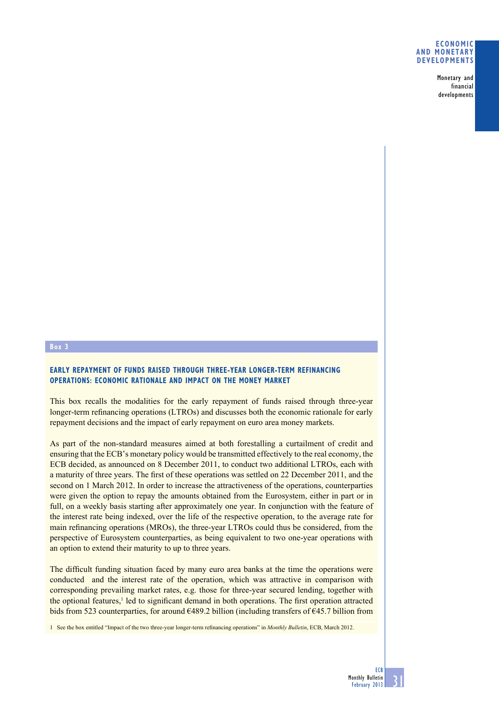### **Economic and monetary developments**

Monetary and financial developments

#### **Box 3**

# **Early repayment of funds raised through three-year longer-term refinancing operations: economic rationale and impact on the money market**

This box recalls the modalities for the early repayment of funds raised through three-year longer-term refinancing operations (LTROs) and discusses both the economic rationale for early repayment decisions and the impact of early repayment on euro area money markets.

As part of the non-standard measures aimed at both forestalling a curtailment of credit and ensuring that the ECB's monetary policy would be transmitted effectively to the real economy, the ECB decided, as announced on 8 December 2011, to conduct two additional LTROs, each with a maturity of three years. The first of these operations was settled on 22 December 2011, and the second on 1 March 2012. In order to increase the attractiveness of the operations, counterparties were given the option to repay the amounts obtained from the Eurosystem, either in part or in full, on a weekly basis starting after approximately one year. In conjunction with the feature of the interest rate being indexed, over the life of the respective operation, to the average rate for main refinancing operations (MROs), the three-year LTROs could thus be considered, from the perspective of Eurosystem counterparties, as being equivalent to two one-year operations with an option to extend their maturity to up to three years.

The difficult funding situation faced by many euro area banks at the time the operations were conducted and the interest rate of the operation, which was attractive in comparison with corresponding prevailing market rates, e.g. those for three-year secured lending, together with the optional features,<sup>1</sup> led to significant demand in both operations. The first operation attracted bids from 523 counterparties, for around  $6489.2$  billion (including transfers of  $645.7$  billion from

1 See the box entitled "Impact of the two three-year longer-term refinancing operations" in *Monthly Bulletin*, ECB, March 2012.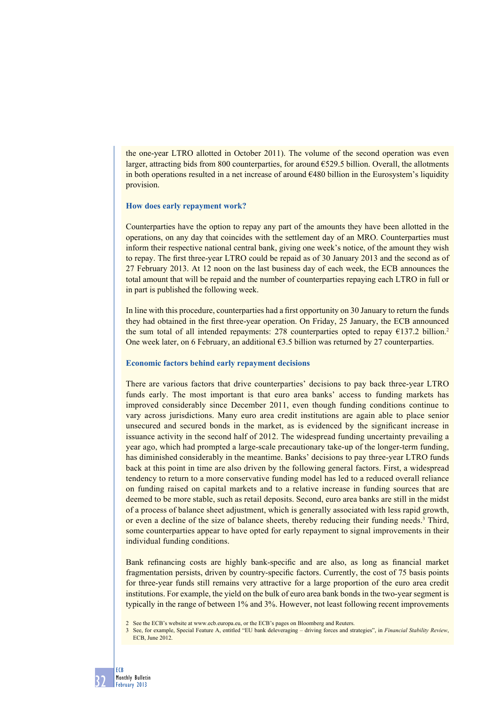the one-year LTRO allotted in October 2011). The volume of the second operation was even larger, attracting bids from 800 counterparties, for around €529.5 billion. Overall, the allotments in both operations resulted in a net increase of around  $\epsilon$ 480 billion in the Eurosystem's liquidity provision.

### **How does early repayment work?**

Counterparties have the option to repay any part of the amounts they have been allotted in the operations, on any day that coincides with the settlement day of an MRO. Counterparties must inform their respective national central bank, giving one week's notice, of the amount they wish to repay. The first three-year LTRO could be repaid as of 30 January 2013 and the second as of 27 February 2013. At 12 noon on the last business day of each week, the ECB announces the total amount that will be repaid and the number of counterparties repaying each LTRO in full or in part is published the following week.

In line with this procedure, counterparties had a first opportunity on 30 January to return the funds they had obtained in the first three-year operation. On Friday, 25 January, the ECB announced the sum total of all intended repayments: 278 counterparties opted to repay €137.2 billion.<sup>2</sup> One week later, on 6 February, an additional  $63.5$  billion was returned by 27 counterparties.

### **Economic factors behind early repayment decisions**

There are various factors that drive counterparties' decisions to pay back three-year LTRO funds early. The most important is that euro area banks' access to funding markets has improved considerably since December 2011, even though funding conditions continue to vary across jurisdictions. Many euro area credit institutions are again able to place senior unsecured and secured bonds in the market, as is evidenced by the significant increase in issuance activity in the second half of 2012. The widespread funding uncertainty prevailing a year ago, which had prompted a large-scale precautionary take-up of the longer-term funding, has diminished considerably in the meantime. Banks' decisions to pay three-year LTRO funds back at this point in time are also driven by the following general factors. First, a widespread tendency to return to a more conservative funding model has led to a reduced overall reliance on funding raised on capital markets and to a relative increase in funding sources that are deemed to be more stable, such as retail deposits. Second, euro area banks are still in the midst of a process of balance sheet adjustment, which is generally associated with less rapid growth, or even a decline of the size of balance sheets, thereby reducing their funding needs.<sup>3</sup> Third, some counterparties appear to have opted for early repayment to signal improvements in their individual funding conditions.

Bank refinancing costs are highly bank-specific and are also, as long as financial market fragmentation persists, driven by country-specific factors. Currently, the cost of 75 basis points for three-year funds still remains very attractive for a large proportion of the euro area credit institutions. For example, the yield on the bulk of euro area bank bonds in the two-year segment is typically in the range of between 1% and 3%. However, not least following recent improvements

<sup>2</sup> See the ECB's website at www.ecb.europa.eu, or the ECB's pages on Bloomberg and Reuters.

<sup>3</sup> See, for example, Special Feature A, entitled "EU bank deleveraging – driving forces and strategies", in *Financial Stability Review*, ECB, June 2012.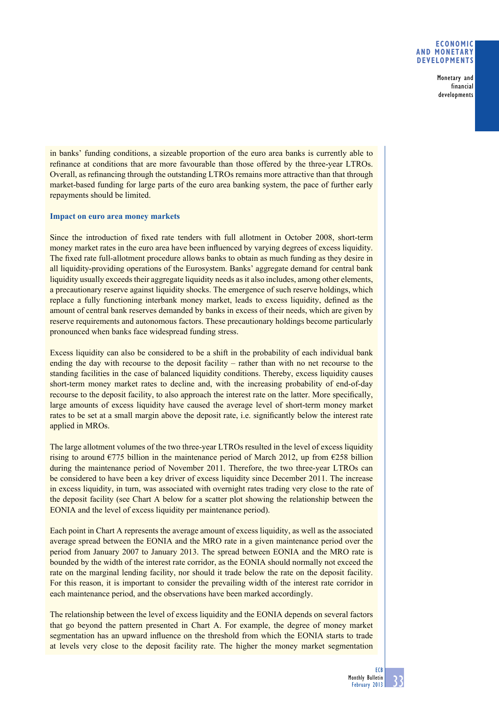## **Economic and monetary developments**

Monetary and financial developments

in banks' funding conditions, a sizeable proportion of the euro area banks is currently able to refinance at conditions that are more favourable than those offered by the three-year LTROs. Overall, as refinancing through the outstanding LTROs remains more attractive than that through market-based funding for large parts of the euro area banking system, the pace of further early repayments should be limited.

## **Impact on euro area money markets**

Since the introduction of fixed rate tenders with full allotment in October 2008, short-term money market rates in the euro area have been influenced by varying degrees of excess liquidity. The fixed rate full-allotment procedure allows banks to obtain as much funding as they desire in all liquidity-providing operations of the Eurosystem. Banks' aggregate demand for central bank liquidity usually exceeds their aggregate liquidity needs as it also includes, among other elements, a precautionary reserve against liquidity shocks. The emergence of such reserve holdings, which replace a fully functioning interbank money market, leads to excess liquidity, defined as the amount of central bank reserves demanded by banks in excess of their needs, which are given by reserve requirements and autonomous factors. These precautionary holdings become particularly pronounced when banks face widespread funding stress.

Excess liquidity can also be considered to be a shift in the probability of each individual bank ending the day with recourse to the deposit facility – rather than with no net recourse to the standing facilities in the case of balanced liquidity conditions. Thereby, excess liquidity causes short-term money market rates to decline and, with the increasing probability of end-of-day recourse to the deposit facility, to also approach the interest rate on the latter. More specifically, large amounts of excess liquidity have caused the average level of short-term money market rates to be set at a small margin above the deposit rate, i.e. significantly below the interest rate applied in MROs.

The large allotment volumes of the two three-year LTROs resulted in the level of excess liquidity rising to around €775 billion in the maintenance period of March 2012, up from €258 billion during the maintenance period of November 2011. Therefore, the two three-year LTROs can be considered to have been a key driver of excess liquidity since December 2011. The increase in excess liquidity, in turn, was associated with overnight rates trading very close to the rate of the deposit facility (see Chart A below for a scatter plot showing the relationship between the EONIA and the level of excess liquidity per maintenance period).

Each point in Chart A represents the average amount of excess liquidity, as well as the associated average spread between the EONIA and the MRO rate in a given maintenance period over the period from January 2007 to January 2013. The spread between EONIA and the MRO rate is bounded by the width of the interest rate corridor, as the EONIA should normally not exceed the rate on the marginal lending facility, nor should it trade below the rate on the deposit facility. For this reason, it is important to consider the prevailing width of the interest rate corridor in each maintenance period, and the observations have been marked accordingly.

The relationship between the level of excess liquidity and the EONIA depends on several factors that go beyond the pattern presented in Chart A. For example, the degree of money market segmentation has an upward influence on the threshold from which the EONIA starts to trade at levels very close to the deposit facility rate. The higher the money market segmentation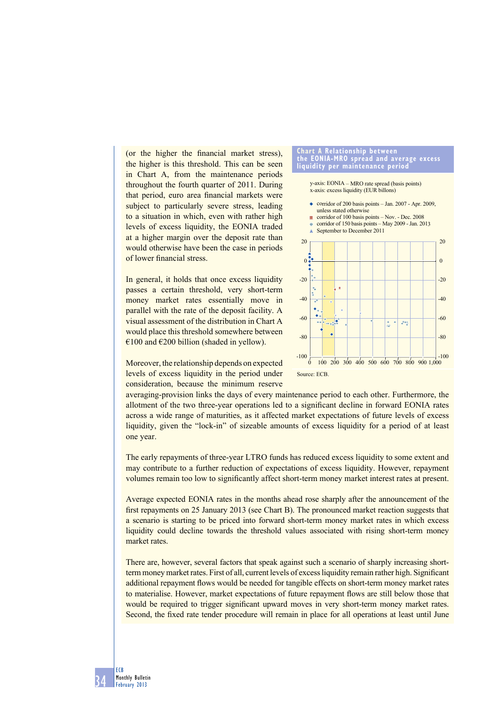(or the higher the financial market stress). the higher is this threshold. This can be seen in Chart A, from the maintenance periods throughout the fourth quarter of 2011. During that period, euro area financial markets were subject to particularly severe stress, leading to a situation in which, even with rather high levels of excess liquidity, the EONIA traded at a higher margin over the deposit rate than would otherwise have been the case in periods of lower financial stress.

In general, it holds that once excess liquidity passes a certain threshold, very short-term money market rates essentially move in parallel with the rate of the deposit facility. A visual assessment of the distribution in Chart A would place this threshold somewhere between €100 and €200 billion (shaded in yellow).



x-axis: excess liquidity (EUR billons) y-axis: EONIA – MRO rate spread (basis points)





Moreover, the relationship depends on expected levels of excess liquidity in the period under consideration, because the minimum reserve

averaging-provision links the days of every maintenance period to each other. Furthermore, the allotment of the two three-year operations led to a significant decline in forward EONIA rates across a wide range of maturities, as it affected market expectations of future levels of excess liquidity, given the "lock-in" of sizeable amounts of excess liquidity for a period of at least one year.

The early repayments of three-year LTRO funds has reduced excess liquidity to some extent and may contribute to a further reduction of expectations of excess liquidity. However, repayment volumes remain too low to significantly affect short-term money market interest rates at present.

Average expected EONIA rates in the months ahead rose sharply after the announcement of the first repayments on 25 January 2013 (see Chart B). The pronounced market reaction suggests that a scenario is starting to be priced into forward short-term money market rates in which excess liquidity could decline towards the threshold values associated with rising short-term money market rates.

There are, however, several factors that speak against such a scenario of sharply increasing shortterm money market rates. First of all, current levels of excess liquidity remain rather high. Significant additional repayment flows would be needed for tangible effects on short-term money market rates to materialise. However, market expectations of future repayment flows are still below those that would be required to trigger significant upward moves in very short-term money market rates. Second, the fixed rate tender procedure will remain in place for all operations at least until June